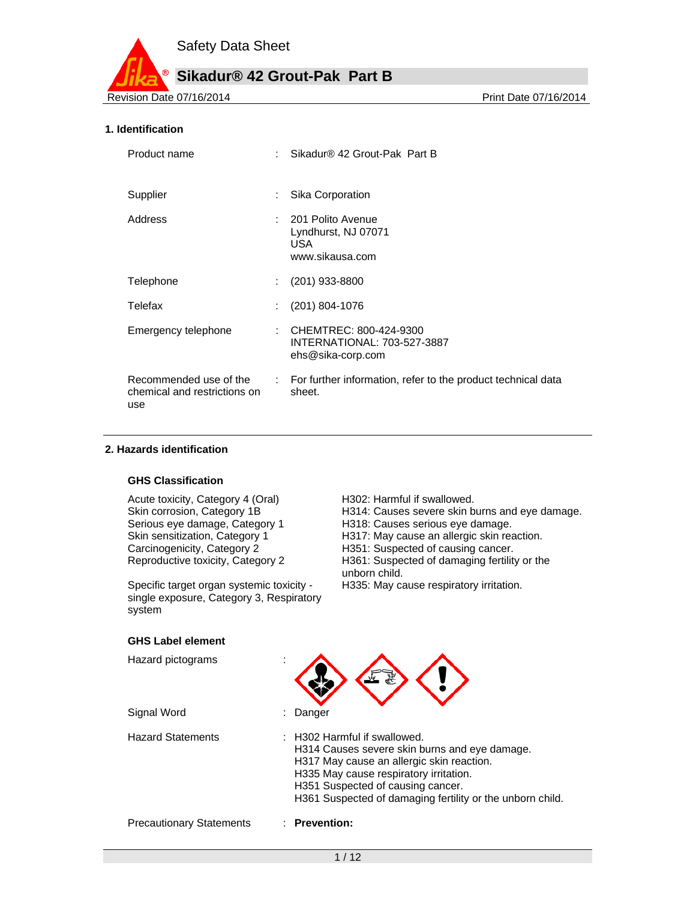**Sikadur® 42 Grout-Pak Part B**

Revision Date 07/16/2014 **Revision Date 07/16/2014** 

#### **1. Identification**

| Product name                        | Sikadur® 42 Grout-Pak Part B                                                                    |
|-------------------------------------|-------------------------------------------------------------------------------------------------|
| Supplier                            | Sika Corporation                                                                                |
| Address                             | : 201 Polito Avenue<br>Lyndhurst, NJ 07071<br>USA.<br>www.sikausa.com                           |
| Telephone                           | $(201)$ 933-8800                                                                                |
| Telefax                             | (201) 804-1076                                                                                  |
| Emergency telephone                 | : CHEMTREC: 800-424-9300<br>INTERNATIONAL: 703-527-3887<br>ehs@sika-corp.com                    |
| chemical and restrictions on<br>use | Recommended use of the : For further information, refer to the product technical data<br>sheet. |

## **2. Hazards identification**

#### **GHS Classification**

Acute toxicity, Category 4 (Oral) H302: Harmful if swallowed.

Specific target organ systemic toxicity single exposure, Category 3, Respiratory system

Skin corrosion, Category 1B H314: Causes severe skin burns and eye damage.<br>Serious eye damage, Category 1 H318: Causes serious eye damage. H318: Causes serious eye damage. Skin sensitization, Category 1 H317: May cause an allergic skin reaction.<br>
Carcinogenicity, Category 2 H351: Suspected of causing cancer. H351: Suspected of causing cancer. Reproductive toxicity, Category 2 H361: Suspected of damaging fertility or the unborn child. H335: May cause respiratory irritation.

#### **GHS Label element**

| Hazard pictograms               |                                                                                                                                                                                                                                                                        |
|---------------------------------|------------------------------------------------------------------------------------------------------------------------------------------------------------------------------------------------------------------------------------------------------------------------|
| Signal Word                     | Danger                                                                                                                                                                                                                                                                 |
| <b>Hazard Statements</b>        | : H302 Harmful if swallowed.<br>H314 Causes severe skin burns and eye damage.<br>H317 May cause an allergic skin reaction.<br>H335 May cause respiratory irritation.<br>H351 Suspected of causing cancer.<br>H361 Suspected of damaging fertility or the unborn child. |
| <b>Precautionary Statements</b> | $\therefore$ Prevention:                                                                                                                                                                                                                                               |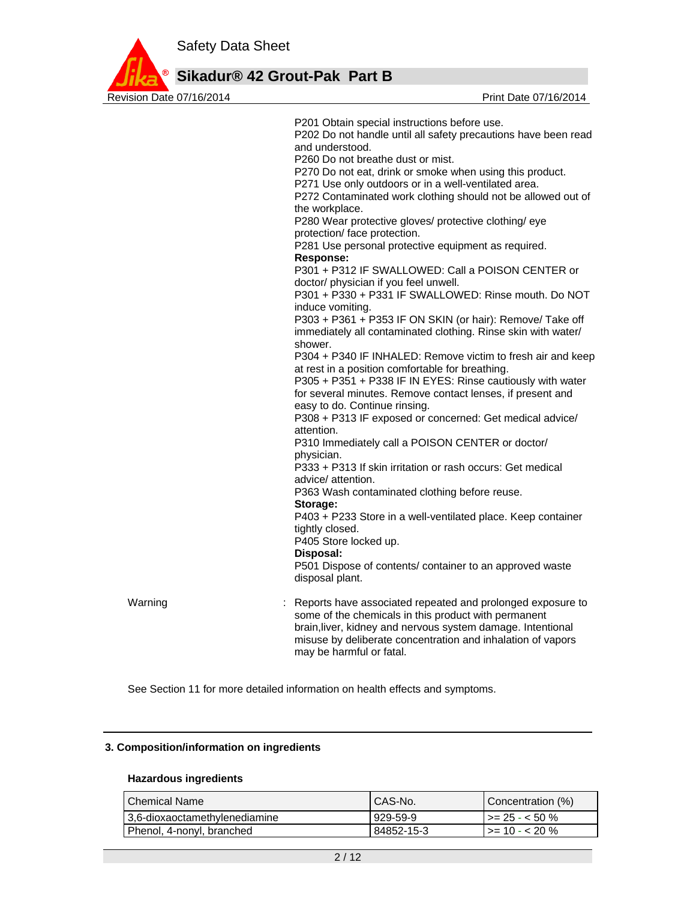

**Sikadur® 42 Grout-Pak Part B**

|         | P201 Obtain special instructions before use.<br>P202 Do not handle until all safety precautions have been read<br>and understood.<br>P260 Do not breathe dust or mist.<br>P270 Do not eat, drink or smoke when using this product.<br>P271 Use only outdoors or in a well-ventilated area.<br>P272 Contaminated work clothing should not be allowed out of<br>the workplace.<br>P280 Wear protective gloves/ protective clothing/ eye<br>protection/ face protection.<br>P281 Use personal protective equipment as required.<br><b>Response:</b><br>P301 + P312 IF SWALLOWED: Call a POISON CENTER or<br>doctor/ physician if you feel unwell.<br>P301 + P330 + P331 IF SWALLOWED: Rinse mouth. Do NOT<br>induce vomiting.<br>P303 + P361 + P353 IF ON SKIN (or hair): Remove/ Take off<br>immediately all contaminated clothing. Rinse skin with water/<br>shower.<br>P304 + P340 IF INHALED: Remove victim to fresh air and keep<br>at rest in a position comfortable for breathing.<br>P305 + P351 + P338 IF IN EYES: Rinse cautiously with water<br>for several minutes. Remove contact lenses, if present and<br>easy to do. Continue rinsing.<br>P308 + P313 IF exposed or concerned: Get medical advice/<br>attention.<br>P310 Immediately call a POISON CENTER or doctor/<br>physician.<br>P333 + P313 If skin irritation or rash occurs: Get medical<br>advice/ attention.<br>P363 Wash contaminated clothing before reuse.<br>Storage:<br>P403 + P233 Store in a well-ventilated place. Keep container<br>tightly closed.<br>P405 Store locked up.<br>Disposal:<br>P501 Dispose of contents/ container to an approved waste<br>disposal plant. |
|---------|----------------------------------------------------------------------------------------------------------------------------------------------------------------------------------------------------------------------------------------------------------------------------------------------------------------------------------------------------------------------------------------------------------------------------------------------------------------------------------------------------------------------------------------------------------------------------------------------------------------------------------------------------------------------------------------------------------------------------------------------------------------------------------------------------------------------------------------------------------------------------------------------------------------------------------------------------------------------------------------------------------------------------------------------------------------------------------------------------------------------------------------------------------------------------------------------------------------------------------------------------------------------------------------------------------------------------------------------------------------------------------------------------------------------------------------------------------------------------------------------------------------------------------------------------------------------------------------------------------------------------------------------------------|
| Warning | Reports have associated repeated and prolonged exposure to<br>some of the chemicals in this product with permanent<br>brain, liver, kidney and nervous system damage. Intentional<br>misuse by deliberate concentration and inhalation of vapors<br>may be harmful or fatal.                                                                                                                                                                                                                                                                                                                                                                                                                                                                                                                                                                                                                                                                                                                                                                                                                                                                                                                                                                                                                                                                                                                                                                                                                                                                                                                                                                             |

See Section 11 for more detailed information on health effects and symptoms.

# **3. Composition/information on ingredients**

## **Hazardous ingredients**

| ⊦Chemical Name                | I CAS-No.  | Concentration (%)           |
|-------------------------------|------------|-----------------------------|
| 3.6-dioxaoctamethylenediamine | l 929-59-9 | $\rightarrow$ = 25 - < 50 % |
| Phenol, 4-nonyl, branched     | 84852-15-3 | $\vert$ >= 10 - < 20 %      |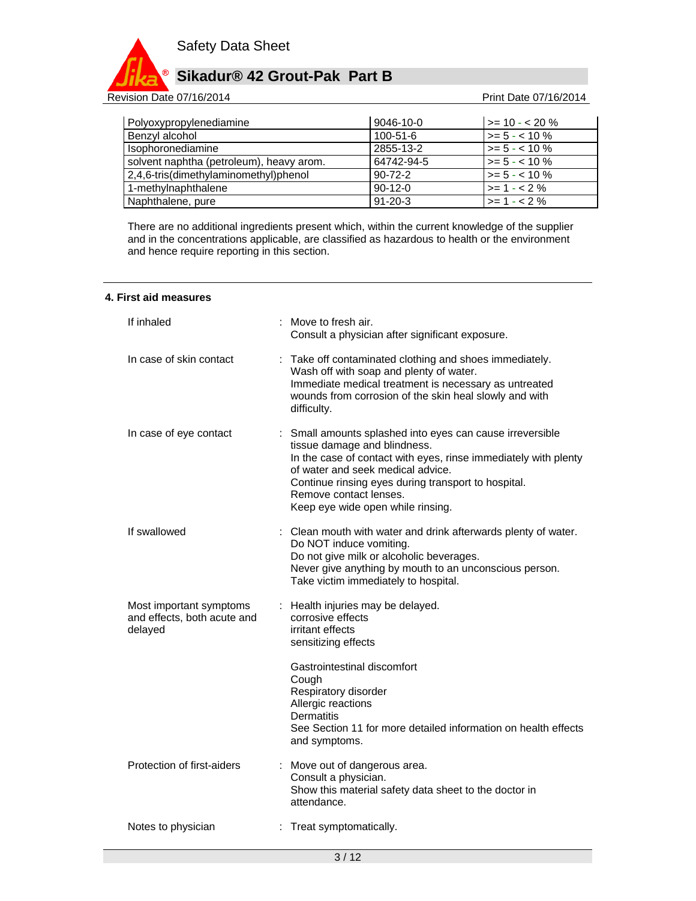

Revision Date 07/16/2014 **Revision Date 07/16/2014** 

| Polyoxypropylenediamine                  | 9046-10-0      | $>= 10 - 20 \%$  |
|------------------------------------------|----------------|------------------|
| Benzyl alcohol                           | $100 - 51 - 6$ | $>= 5 - < 10 \%$ |
| Isophoronediamine                        | 2855-13-2      | $>= 5 - < 10 \%$ |
| solvent naphtha (petroleum), heavy arom. | 64742-94-5     | $>= 5 - < 10 \%$ |
| 2,4,6-tris(dimethylaminomethyl)phenol    | $90 - 72 - 2$  | $>= 5 - < 10 \%$ |
| 1-methylnaphthalene                      | $90-12-0$      | $>= 1 - 2%$      |
| Naphthalene, pure                        | $91 - 20 - 3$  | $>= 1 - 2%$      |

There are no additional ingredients present which, within the current knowledge of the supplier and in the concentrations applicable, are classified as hazardous to health or the environment and hence require reporting in this section.

|  |  |  |  | 4. First aid measures |
|--|--|--|--|-----------------------|
|--|--|--|--|-----------------------|

| If inhaled                                                        |   | Move to fresh air.<br>Consult a physician after significant exposure.                                                                                                                                                                                                                                                   |
|-------------------------------------------------------------------|---|-------------------------------------------------------------------------------------------------------------------------------------------------------------------------------------------------------------------------------------------------------------------------------------------------------------------------|
| In case of skin contact                                           | ÷ | Take off contaminated clothing and shoes immediately.<br>Wash off with soap and plenty of water.<br>Immediate medical treatment is necessary as untreated<br>wounds from corrosion of the skin heal slowly and with<br>difficulty.                                                                                      |
| In case of eye contact                                            |   | : Small amounts splashed into eyes can cause irreversible<br>tissue damage and blindness.<br>In the case of contact with eyes, rinse immediately with plenty<br>of water and seek medical advice.<br>Continue rinsing eyes during transport to hospital.<br>Remove contact lenses.<br>Keep eye wide open while rinsing. |
| If swallowed                                                      |   | : Clean mouth with water and drink afterwards plenty of water.<br>Do NOT induce vomiting.<br>Do not give milk or alcoholic beverages.<br>Never give anything by mouth to an unconscious person.<br>Take victim immediately to hospital.                                                                                 |
| Most important symptoms<br>and effects, both acute and<br>delayed | ÷ | Health injuries may be delayed.<br>corrosive effects<br>irritant effects<br>sensitizing effects                                                                                                                                                                                                                         |
|                                                                   |   | Gastrointestinal discomfort<br>Cough<br>Respiratory disorder<br>Allergic reactions<br><b>Dermatitis</b><br>See Section 11 for more detailed information on health effects<br>and symptoms.                                                                                                                              |
| Protection of first-aiders                                        |   | : Move out of dangerous area.<br>Consult a physician.<br>Show this material safety data sheet to the doctor in<br>attendance.                                                                                                                                                                                           |
| Notes to physician                                                |   | : Treat symptomatically.                                                                                                                                                                                                                                                                                                |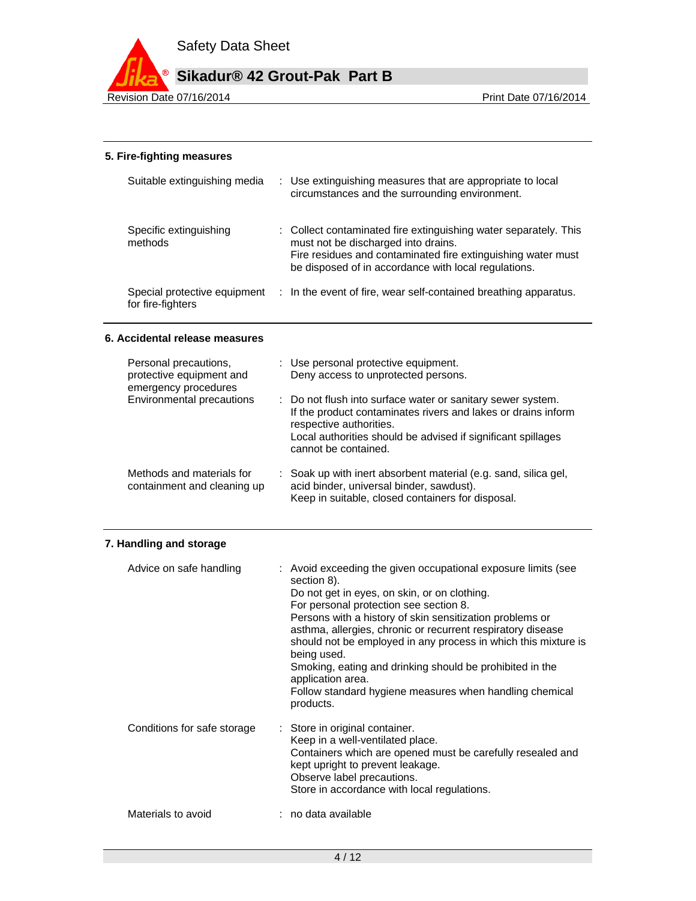

# **5. Fire-fighting measures**

| Suitable extinguishing media                      | : Use extinguishing measures that are appropriate to local<br>circumstances and the surrounding environment.                                                                                                                    |
|---------------------------------------------------|---------------------------------------------------------------------------------------------------------------------------------------------------------------------------------------------------------------------------------|
| Specific extinguishing<br>methods                 | : Collect contaminated fire extinguishing water separately. This<br>must not be discharged into drains.<br>Fire residues and contaminated fire extinguishing water must<br>be disposed of in accordance with local regulations. |
| Special protective equipment<br>for fire-fighters | : In the event of fire, wear self-contained breathing apparatus.                                                                                                                                                                |

# **6. Accidental release measures**

| Personal precautions,<br>protective equipment and<br>emergency procedures | : Use personal protective equipment.<br>Deny access to unprotected persons.                                                                                                                                                                     |  |
|---------------------------------------------------------------------------|-------------------------------------------------------------------------------------------------------------------------------------------------------------------------------------------------------------------------------------------------|--|
| Environmental precautions                                                 | : Do not flush into surface water or sanitary sewer system.<br>If the product contaminates rivers and lakes or drains inform<br>respective authorities.<br>Local authorities should be advised if significant spillages<br>cannot be contained. |  |
| Methods and materials for<br>containment and cleaning up                  | : Soak up with inert absorbent material (e.g. sand, silica gel,<br>acid binder, universal binder, sawdust).<br>Keep in suitable, closed containers for disposal.                                                                                |  |

# **7. Handling and storage**

| Advice on safe handling     | : Avoid exceeding the given occupational exposure limits (see<br>section 8).<br>Do not get in eyes, on skin, or on clothing.<br>For personal protection see section 8.<br>Persons with a history of skin sensitization problems or<br>asthma, allergies, chronic or recurrent respiratory disease<br>should not be employed in any process in which this mixture is<br>being used.<br>Smoking, eating and drinking should be prohibited in the<br>application area.<br>Follow standard hygiene measures when handling chemical<br>products. |
|-----------------------------|---------------------------------------------------------------------------------------------------------------------------------------------------------------------------------------------------------------------------------------------------------------------------------------------------------------------------------------------------------------------------------------------------------------------------------------------------------------------------------------------------------------------------------------------|
| Conditions for safe storage | : Store in original container.<br>Keep in a well-ventilated place.<br>Containers which are opened must be carefully resealed and<br>kept upright to prevent leakage.<br>Observe label precautions.<br>Store in accordance with local regulations.                                                                                                                                                                                                                                                                                           |
| Materials to avoid          | : no data available                                                                                                                                                                                                                                                                                                                                                                                                                                                                                                                         |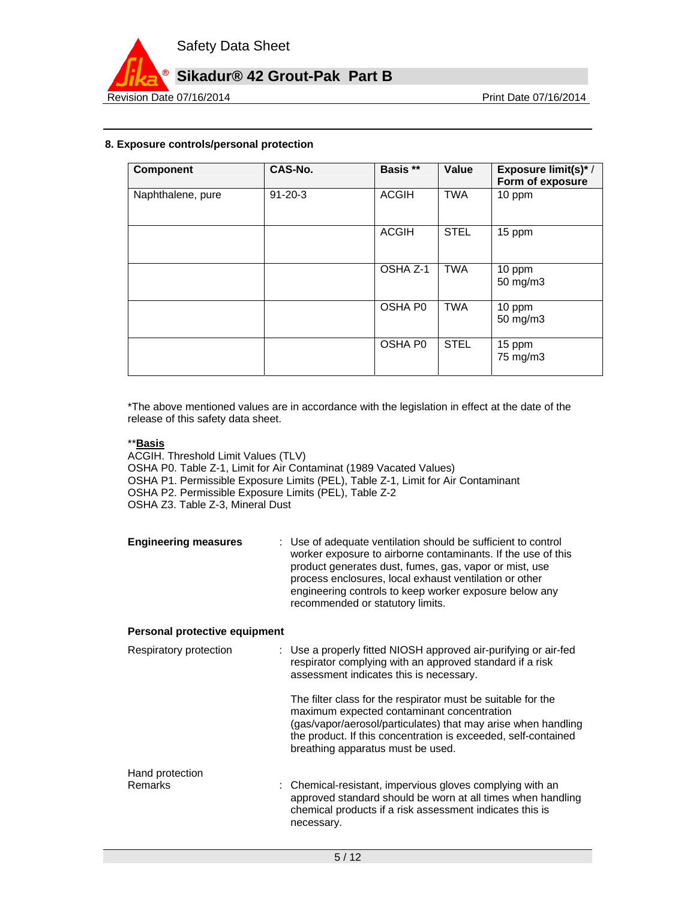

# **8. Exposure controls/personal protection**

| Component         | CAS-No.       | Basis **     | Value       | <b>Exposure limit(s)*/</b><br>Form of exposure |
|-------------------|---------------|--------------|-------------|------------------------------------------------|
| Naphthalene, pure | $91 - 20 - 3$ | <b>ACGIH</b> | <b>TWA</b>  | 10 ppm                                         |
|                   |               | <b>ACGIH</b> | <b>STEL</b> | 15 ppm                                         |
|                   |               | OSHA Z-1     | <b>TWA</b>  | 10 ppm<br>50 mg/m3                             |
|                   |               | OSHA P0      | <b>TWA</b>  | 10 ppm<br>50 mg/m3                             |
|                   |               | OSHA P0      | <b>STEL</b> | 15 ppm<br>75 mg/m3                             |

\*The above mentioned values are in accordance with the legislation in effect at the date of the release of this safety data sheet.

# \*\***Basis**

ACGIH. Threshold Limit Values (TLV) OSHA P0. Table Z-1, Limit for Air Contaminat (1989 Vacated Values) OSHA P1. Permissible Exposure Limits (PEL), Table Z-1, Limit for Air Contaminant OSHA P2. Permissible Exposure Limits (PEL), Table Z-2 OSHA Z3. Table Z-3, Mineral Dust

| <b>Engineering measures</b> | : Use of adequate ventilation should be sufficient to control<br>worker exposure to airborne contaminants. If the use of this<br>product generates dust, fumes, gas, vapor or mist, use<br>process enclosures, local exhaust ventilation or other |
|-----------------------------|---------------------------------------------------------------------------------------------------------------------------------------------------------------------------------------------------------------------------------------------------|
|                             | engineering controls to keep worker exposure below any<br>recommended or statutory limits.                                                                                                                                                        |

## **Personal protective equipment**

| respirator complying with an approved standard if a risk<br>assessment indicates this is necessary.                                                                                                                                                                                |
|------------------------------------------------------------------------------------------------------------------------------------------------------------------------------------------------------------------------------------------------------------------------------------|
| The filter class for the respirator must be suitable for the<br>maximum expected contaminant concentration<br>(gas/vapor/aerosol/particulates) that may arise when handling<br>the product. If this concentration is exceeded, self-contained<br>breathing apparatus must be used. |
| : Chemical-resistant, impervious gloves complying with an<br>approved standard should be worn at all times when handling<br>chemical products if a risk assessment indicates this is<br>necessary.                                                                                 |
|                                                                                                                                                                                                                                                                                    |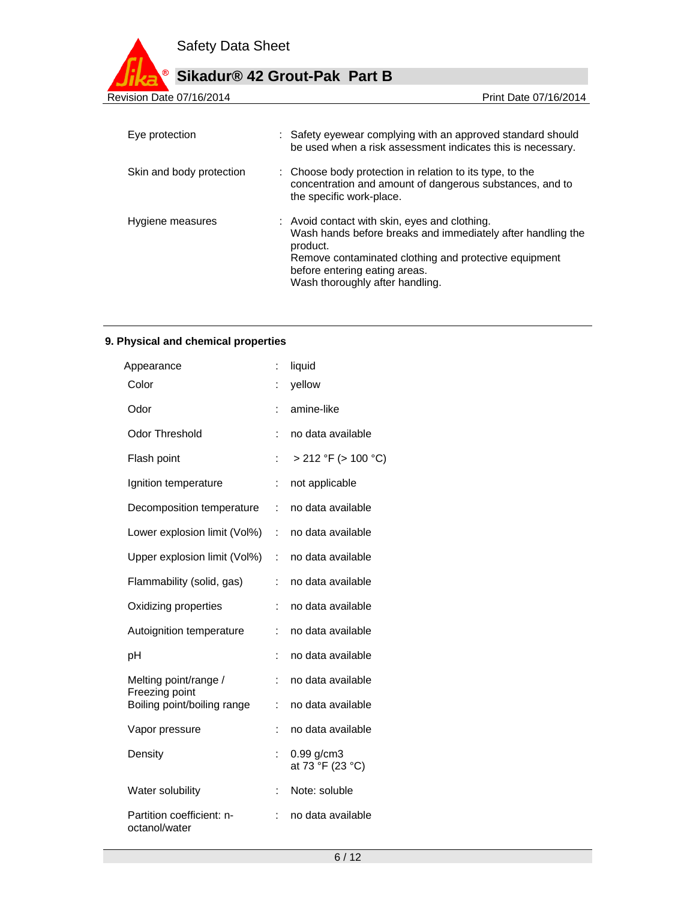

| Revision Date 07/16/2014 |  |
|--------------------------|--|

Print Date 07/16/2014

| Eye protection           | : Safety eyewear complying with an approved standard should<br>be used when a risk assessment indicates this is necessary.                                                                                                                            |
|--------------------------|-------------------------------------------------------------------------------------------------------------------------------------------------------------------------------------------------------------------------------------------------------|
| Skin and body protection | : Choose body protection in relation to its type, to the<br>concentration and amount of dangerous substances, and to<br>the specific work-place.                                                                                                      |
| Hygiene measures         | : Avoid contact with skin, eyes and clothing.<br>Wash hands before breaks and immediately after handling the<br>product.<br>Remove contaminated clothing and protective equipment<br>before entering eating areas.<br>Wash thoroughly after handling. |

# **9. Physical and chemical properties**

| Appearance                                 | ÷              | liquid                           |
|--------------------------------------------|----------------|----------------------------------|
| Color                                      | :              | yellow                           |
| Odor                                       | İ.             | amine-like                       |
| Odor Threshold                             | ÷              | no data available                |
| Flash point                                | t              | > 212 °F (> 100 °C)              |
| Ignition temperature                       | $\ddot{\cdot}$ | not applicable                   |
| Decomposition temperature                  | ÷              | no data available                |
| Lower explosion limit (Vol%)               | t.             | no data available                |
| Upper explosion limit (Vol%)               | ÷              | no data available                |
| Flammability (solid, gas)                  | ÷              | no data available                |
| Oxidizing properties                       | ÷              | no data available                |
| Autoignition temperature                   | ÷              | no data available                |
| рH                                         | İ.             | no data available                |
| Melting point/range /<br>Freezing point    | ÷              | no data available                |
| Boiling point/boiling range                | t              | no data available                |
| Vapor pressure                             | ÷              | no data available                |
| Density                                    | ÷              | $0.99$ g/cm3<br>at 73 °F (23 °C) |
| Water solubility                           | t              | Note: soluble                    |
| Partition coefficient: n-<br>octanol/water | t              | no data available                |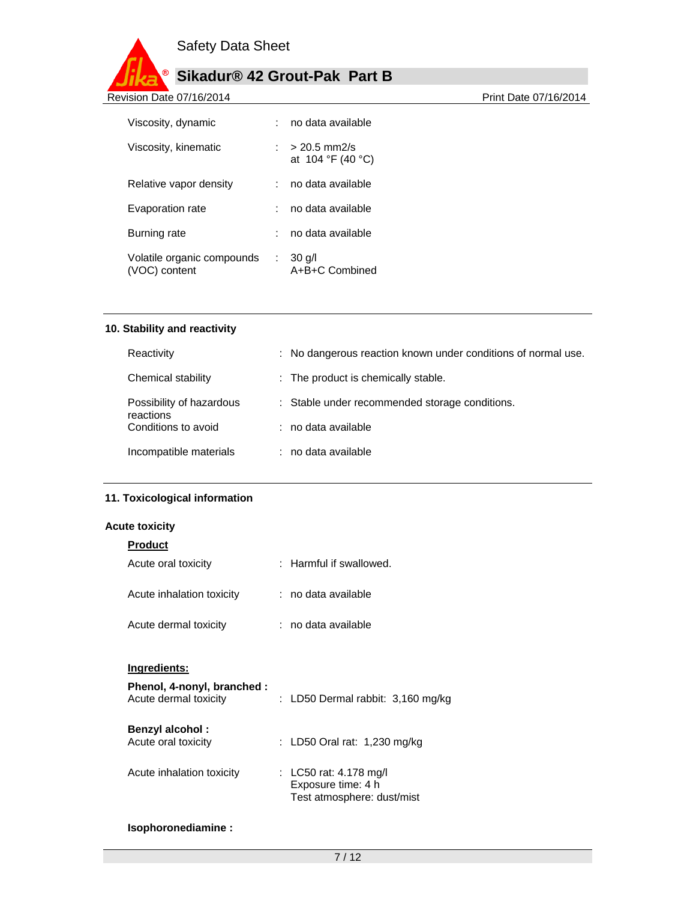

Revision Date 07/16/2014 **Revision Date 07/16/2014** 

|                            | : no data available                       |
|----------------------------|-------------------------------------------|
|                            | $20.5 \text{ mm2/s}$<br>at 104 °F (40 °C) |
|                            | : no data available                       |
|                            | : no data available                       |
|                            | no data available                         |
| Volatile organic compounds | $: 30$ g/l<br>A+B+C Combined              |
|                            |                                           |

# **10. Stability and reactivity**

| Reactivity                            | : No dangerous reaction known under conditions of normal use. |
|---------------------------------------|---------------------------------------------------------------|
| Chemical stability                    | : The product is chemically stable.                           |
| Possibility of hazardous<br>reactions | : Stable under recommended storage conditions.                |
| Conditions to avoid                   | : no data available                                           |
| Incompatible materials                | : no data available                                           |

# **11. Toxicological information**

## **Acute toxicity**

| <b>Product</b>                                      |                                                                            |
|-----------------------------------------------------|----------------------------------------------------------------------------|
| Acute oral toxicity                                 | : Harmful if swallowed.                                                    |
| Acute inhalation toxicity                           | ∶no data available                                                         |
| Acute dermal toxicity                               | : no data available                                                        |
| Ingredients:                                        |                                                                            |
| Phenol, 4-nonyl, branched:<br>Acute dermal toxicity | : LD50 Dermal rabbit: 3,160 mg/kg                                          |
| <b>Benzyl alcohol:</b><br>Acute oral toxicity       | : LD50 Oral rat: 1,230 mg/kg                                               |
| Acute inhalation toxicity                           | : LC50 rat: 4.178 mg/l<br>Exposure time: 4 h<br>Test atmosphere: dust/mist |

## **Isophoronediamine :**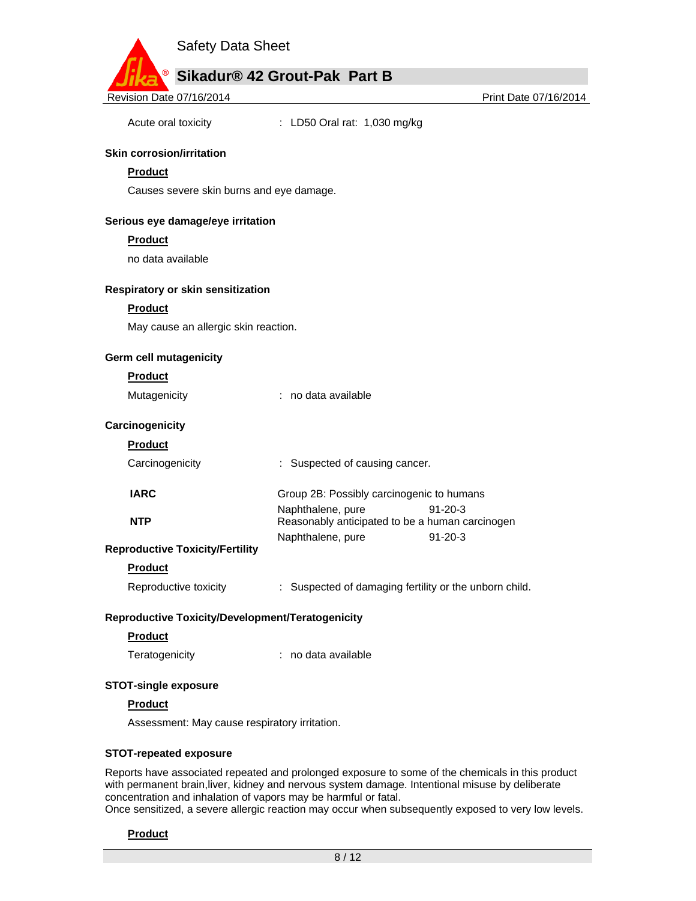

Acute oral toxicity : LD50 Oral rat: 1,030 mg/kg

## **Skin corrosion/irritation**

## **Product**

Causes severe skin burns and eye damage.

## **Serious eye damage/eye irritation**

#### **Product**

no data available

#### **Respiratory or skin sensitization**

**Product** 

May cause an allergic skin reaction.

#### **Germ cell mutagenicity**

#### **Product**

Mutagenicity : no data available

## **Carcinogenicity**

| auc<br>m<br>п |  |
|---------------|--|
|               |  |

| Carcinogenicity                          | : Suspected of causing cancer.                  |               |
|------------------------------------------|-------------------------------------------------|---------------|
| <b>IARC</b>                              | Group 2B: Possibly carcinogenic to humans       |               |
|                                          | Naphthalene, pure                               | $91 - 20 - 3$ |
| <b>NTP</b>                               | Reasonably anticipated to be a human carcinogen |               |
|                                          | Naphthalene, pure                               | $91 - 20 - 3$ |
| oductive Toxicitv/Fertilitv <sup>.</sup> |                                                 |               |

# **Repr**

## **Product**

Reproductive toxicity : Suspected of damaging fertility or the unborn child.

## **Reproductive Toxicity/Development/Teratogenicity**

#### **Product**

Teratogenicity **interest in the Contract Contract Contract Contract Contract Contract Contract Contract Contract Contract Contract Contract Contract Contract Contract Contract Contract Contract Contract Contract Contract C** 

#### **STOT-single exposure**

#### **Product**

Assessment: May cause respiratory irritation.

#### **STOT-repeated exposure**

Reports have associated repeated and prolonged exposure to some of the chemicals in this product with permanent brain,liver, kidney and nervous system damage. Intentional misuse by deliberate concentration and inhalation of vapors may be harmful or fatal.

Once sensitized, a severe allergic reaction may occur when subsequently exposed to very low levels.

# **Product**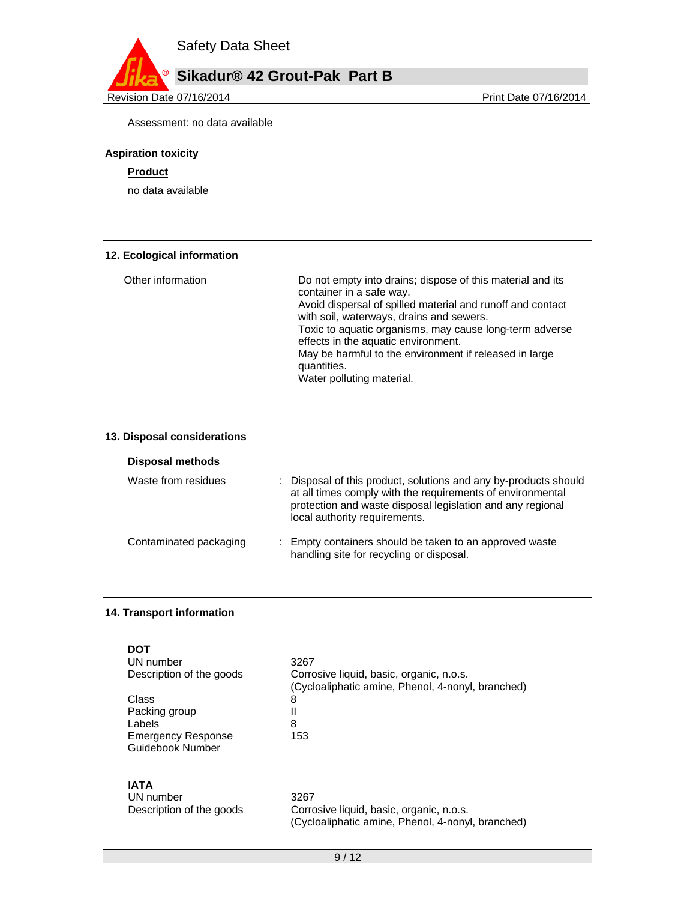

Revision Date 07/16/2014 **Revision Date 07/16/2014** 

Assessment: no data available

## **Aspiration toxicity**

# **Product**

no data available

# **12. Ecological information**

| Other information | Do not empty into drains; dispose of this material and its<br>container in a safe way.                 |
|-------------------|--------------------------------------------------------------------------------------------------------|
|                   | Avoid dispersal of spilled material and runoff and contact<br>with soil, waterways, drains and sewers. |
|                   | Toxic to aquatic organisms, may cause long-term adverse<br>effects in the aquatic environment.         |
|                   | May be harmful to the environment if released in large<br>quantities.                                  |
|                   | Water polluting material.                                                                              |

## **13. Disposal considerations**

**Disposal methods** 

| Waste from residues    | : Disposal of this product, solutions and any by-products should<br>at all times comply with the requirements of environmental<br>protection and waste disposal legislation and any regional<br>local authority requirements. |
|------------------------|-------------------------------------------------------------------------------------------------------------------------------------------------------------------------------------------------------------------------------|
| Contaminated packaging | : Empty containers should be taken to an approved waste<br>handling site for recycling or disposal.                                                                                                                           |

## **14. Transport information**

| DOT<br>UN number<br>Description of the goods<br>Class<br>Packing group<br>Labels<br><b>Emergency Response</b><br>Guidebook Number | 3267<br>Corrosive liquid, basic, organic, n.o.s.<br>(Cycloaliphatic amine, Phenol, 4-nonyl, branched)<br>8<br>Ш<br>8<br>153 |
|-----------------------------------------------------------------------------------------------------------------------------------|-----------------------------------------------------------------------------------------------------------------------------|
| IATA<br>UN number<br>Description of the goods                                                                                     | 3267<br>Corrosive liquid, basic, organic, n.o.s.                                                                            |

(Cycloaliphatic amine, Phenol, 4-nonyl, branched)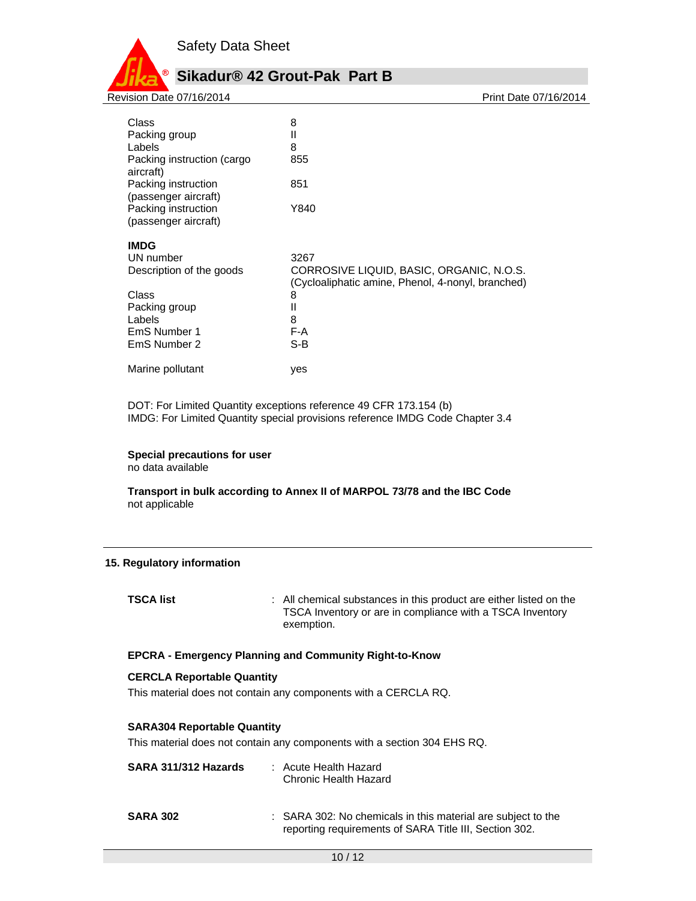

Class 8 Packing group **II** Labels 8 Packing instruction (cargo aircraft) 855 Packing instruction (passenger aircraft) 851 Packing instruction (passenger aircraft) Y840 **IMDG**  UN number 3267 Description of the goods CORROSIVE LIQUID, BASIC, ORGANIC, N.O.S. (Cycloaliphatic amine, Phenol, 4-nonyl, branched) Class 8<br>Packing group 11 11 Packing group Labels 8 EmS Number 1 EmS Number 2 S-B Marine pollutant ves

DOT: For Limited Quantity exceptions reference 49 CFR 173.154 (b) IMDG: For Limited Quantity special provisions reference IMDG Code Chapter 3.4

**Special precautions for user** no data available

**Transport in bulk according to Annex II of MARPOL 73/78 and the IBC Code**  not applicable

## **15. Regulatory information**

**TSCA list** : All chemical substances in this product are either listed on the TSCA Inventory or are in compliance with a TSCA Inventory exemption.

#### **EPCRA - Emergency Planning and Community Right-to-Know**

#### **CERCLA Reportable Quantity**

This material does not contain any components with a CERCLA RQ.

#### **SARA304 Reportable Quantity**

This material does not contain any components with a section 304 EHS RQ.

| SARA 311/312 Hazards | : Acute Health Hazard<br>Chronic Health Hazard                                                                         |
|----------------------|------------------------------------------------------------------------------------------------------------------------|
| <b>SARA 302</b>      | : SARA 302: No chemicals in this material are subject to the<br>reporting requirements of SARA Title III, Section 302. |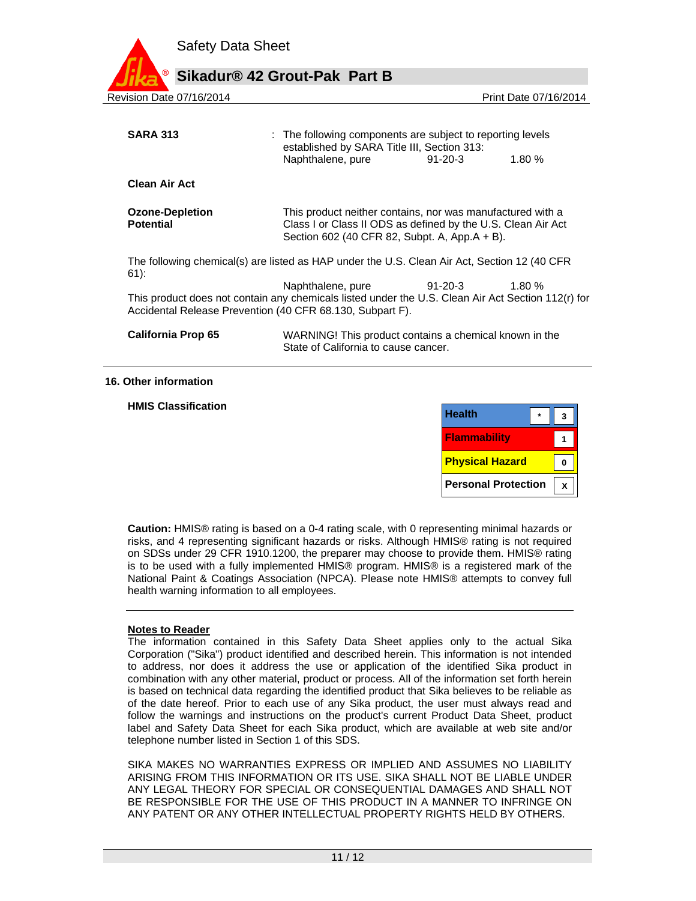|                          | <b>Safety Data Sheet</b> |                                                                                                                                |               |                       |  |
|--------------------------|--------------------------|--------------------------------------------------------------------------------------------------------------------------------|---------------|-----------------------|--|
| ®                        |                          | Sikadur® 42 Grout-Pak Part B                                                                                                   |               |                       |  |
| Revision Date 07/16/2014 |                          |                                                                                                                                |               | Print Date 07/16/2014 |  |
| <b>SARA 313</b>          |                          | : The following components are subject to reporting levels<br>established by SARA Title III, Section 313:<br>Naphthalene, pure | $91 - 20 - 3$ | 1.80%                 |  |
| <b>Clean Air Act</b>     |                          |                                                                                                                                |               |                       |  |

**Ozone-Depletion Potential**  This product neither contains, nor was manufactured with a Class I or Class II ODS as defined by the U.S. Clean Air Act Section 602 (40 CFR 82, Subpt. A, App.A + B).

The following chemical(s) are listed as HAP under the U.S. Clean Air Act, Section 12 (40 CFR 61):

Naphthalene, pure 91-20-3 1.80 % This product does not contain any chemicals listed under the U.S. Clean Air Act Section 112(r) for Accidental Release Prevention (40 CFR 68.130, Subpart F).

| <b>California Prop 65</b> | WARNING! This product contains a chemical known in the |
|---------------------------|--------------------------------------------------------|
|                           | State of California to cause cancer.                   |

#### **16. Other information**

**HMIS Classification** 

| <b>Health</b>              |  |
|----------------------------|--|
| <b>Flammability</b>        |  |
| <b>Physical Hazard</b>     |  |
| <b>Personal Protection</b> |  |

**Caution:** HMIS® rating is based on a 0-4 rating scale, with 0 representing minimal hazards or risks, and 4 representing significant hazards or risks. Although HMIS® rating is not required on SDSs under 29 CFR 1910.1200, the preparer may choose to provide them. HMIS® rating is to be used with a fully implemented HMIS® program. HMIS® is a registered mark of the National Paint & Coatings Association (NPCA). Please note HMIS® attempts to convey full health warning information to all employees.

## **Notes to Reader**

The information contained in this Safety Data Sheet applies only to the actual Sika Corporation ("Sika") product identified and described herein. This information is not intended to address, nor does it address the use or application of the identified Sika product in combination with any other material, product or process. All of the information set forth herein is based on technical data regarding the identified product that Sika believes to be reliable as of the date hereof. Prior to each use of any Sika product, the user must always read and follow the warnings and instructions on the product's current Product Data Sheet, product label and Safety Data Sheet for each Sika product, which are available at web site and/or telephone number listed in Section 1 of this SDS.

SIKA MAKES NO WARRANTIES EXPRESS OR IMPLIED AND ASSUMES NO LIABILITY ARISING FROM THIS INFORMATION OR ITS USE. SIKA SHALL NOT BE LIABLE UNDER ANY LEGAL THEORY FOR SPECIAL OR CONSEQUENTIAL DAMAGES AND SHALL NOT BE RESPONSIBLE FOR THE USE OF THIS PRODUCT IN A MANNER TO INFRINGE ON ANY PATENT OR ANY OTHER INTELLECTUAL PROPERTY RIGHTS HELD BY OTHERS.